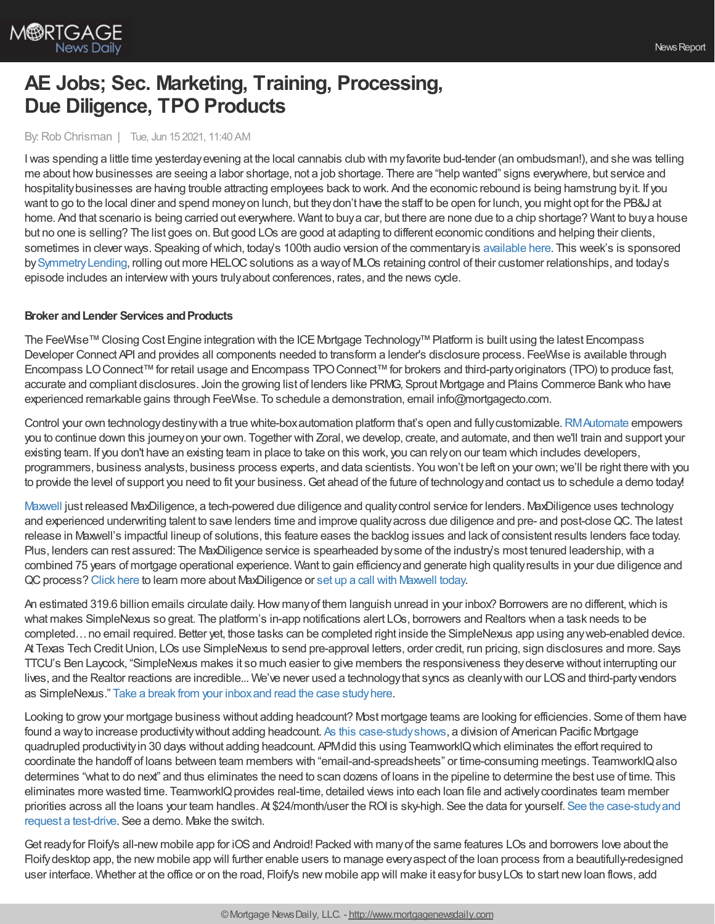

# **AE Jobs; Sec. Marketing, Training, Processing, Due Diligence, TPO Products**

#### By:Rob Chrisman | Tue, Jun 15 2021, 11:40 AM

Iwas spending a little time yesterdayevening at the local cannabis club with myfavorite bud-tender (an ombudsman!), and she was telling me about how businesses are seeing a labor shortage, not a job shortage. There are "help wanted" signs everywhere, but service and hospitalitybusinesses are having trouble attracting employees back to work. And the economic rebound is being hamstrung byit. If you want to go to the local diner and spend moneyon lunch, but theydon't have the staff to be open for lunch, you might opt for the PB&J at home. And that scenario is being carried out everywhere. Want to buya car, but there are none due to a chip shortage? Want to buya house but no one is selling? The list goes on. But good LOs are good at adapting to different economic conditions and helping their clients, sometimes in clever ways. Speaking of which, today's 100th audio version of the commentary is [available](https://linktr.ee/dailymortgagenews) here. This week's is sponsored by[SymmetryLending,](https://symmetrylending.com/) rolling out more HELOCsolutions as a wayof MLOs retaining control of their customer relationships, and today's episode includes an interviewwith yours trulyabout conferences, rates, and the news cycle.

#### **Broker and Lender Services and Products**

The FeeWise™Closing Cost Engine integration with the ICEMortgage Technology™Platform is built using the latest Encompass Developer Connect API and provides all components needed to transform a lender's disclosure process. FeeWise is available through Encompass LO Connect™ for retail usage and Encompass TPO Connect™ for brokers and third-partyoriginators (TPO) to produce fast, accurate and compliant disclosures. Join the growing list of lenders like PRMG, Sprout Mortgage and Plains Commerce Bankwho have experienced remarkable gains through FeeWise. To schedule a demonstration, email info@mortgagecto.com.

Control your own technologydestinywith a true white-boxautomation platform that's open and fullycustomizable.[RMAutomate](https://richeymay.com/operations/rpa/) empowers you to continue down this journey on your own. Together with Zoral, we develop, create, and automate, and then we'll train and support your existing team. If you don't have an existing team in place to take on this work, you can relyon our team which includes developers, programmers, business analysts, business process experts, and data scientists. You won't be left on your own;we'll be right there with you to provide the level of support you need to fit your business. Get ahead of the future of technology and contact us to schedule a demo today!

[Maxwell](https://himaxwell.com/?utm_source=RC&utm_medium=RC_CTA) just released MaxDiligence, a tech-powered due diligence and qualitycontrol service for lenders. MaxDiligence uses technology and experienced underwriting talent to save lenders time and improve qualityacross due diligence and pre- and post-closeQC. The latest release in Maxwell's impactful lineup of solutions, this feature eases the backlog issues and lack of consistent results lenders face today. Plus, lenders can rest assured: The MaxDiligence service is spearheaded bysome of the industry's most tenured leadership, with a combined 75 years of mortgage operational experience. Want to gain efficiencyand generate high qualityresults in your due diligence and QC process? [Click](https://himaxwell.com/maxdiligence?utm_source=RC&utm_medium=RC_CTA) here to learn more about MaxDiligence or set up a call with [Maxwell](https://himaxwell.com/request-a-demo2?utm_source=RC&utm_medium=RC_CTA) today.

An estimated 319.6 billion emails circulate daily. How many of them languish unread in your inbox? Borrowers are no different, which is what makes SimpleNexus so great. The platform's in-app notifications alert LOs, borrowers and Realtors when a task needs to be completed…no email required. Better yet, those tasks can be completed right inside the SimpleNexus app using anyweb-enabled device. At Texas Tech Credit Union, LOs use SimpleNexus to send pre-approval letters, order credit, run pricing, sign disclosures and more. Says TTCU's Ben Laycock, "SimpleNexus makes it so much easier to give members the responsiveness theydeserve without interrupting our lives, and the Realtor reactions are incredible... We've never used a technologythat syncs as cleanlywith our LOSand third-partyvendors as SimpleNexus." Take a break from your inboxand read the case [studyhere](https://bit.ly/3cJ5dZo).

Looking to growyour mortgage business without adding headcount? Most mortgage teams are looking for efficiencies. Some of them have found a way to increase productivity without adding headcount. As this case-study shows, a division of American Pacific Mortgage quadrupled productivityin 30 days without adding headcount. APMdid this using TeamworkIQwhich eliminates the effort required to coordinate the handoff of loans between team members with "email-and-spreadsheets" or time-consuming meetings. TeamworkIQalso determines "what to do next" and thus eliminates the need to scan dozens of loans in the pipeline to determine the best use of time. This eliminates more wasted time. TeamworkIQ provides real-time, detailed views into each loan file and actively coordinates team member priorities across all the loans your team handles. At [\\$24/month/user](https://teamworkiq.com/american-pacific-mortgage-case-study/?utm_campaign=mortgage&utm_source=robchrisman.com&utm_content=too_much_time_spent_in_email) the ROI is sky-high. See the data for yourself. See the case-studyand request a test-drive. See a demo. Make the switch.

Get ready for Floify's all-new mobile app for iOS and Android! Packed with many of the same features LOs and borrowers love about the Floifydesktop app, the new mobile app will further enable users to manage everyaspect of the loan process from a beautifully-redesigned user interface. Whether at the office or on the road, Floify's new mobile app will make it easyfor busyLOs to start newloan flows, add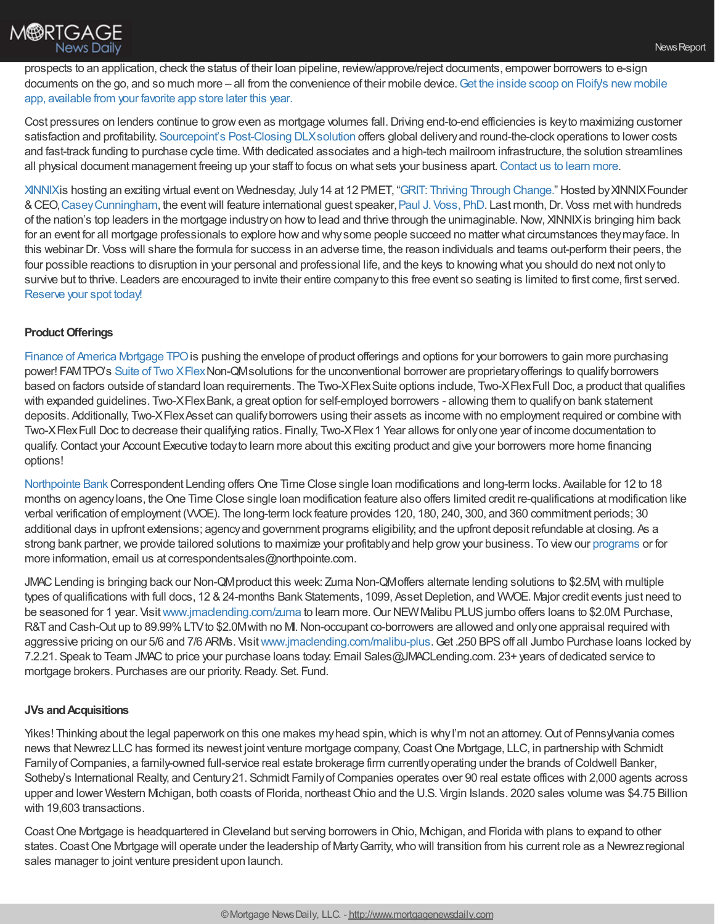

prospects to an application, check the status of their loan pipeline, review/approve/reject documents, empower borrowers to e-sign documents on the go, and so much more – all from the [convenience](https://floify.com/new-floify-mobile-app-cta?utm_source=chrisman&utm_medium=email&utm_campaign=june-commentary) of their mobile device. Get the inside scoop on Floify's new mobile app, available from your favorite app store later this year.

Cost pressures on lenders continue to grow even as mortgage volumes fall. Driving end-to-end efficiencies is key to maximizing customer satisfaction and profitability. [Sourcepoint's](https://www.sourcepointmortgage.com/post-close-outsourcing-document-management-trailing-documents/?utm_source=Chrisman&utm_medium=display&utm_campaign=post-close) Post-Closing DLXsolution offers global deliveryand round-the-clock operations to lower costs and fast-track funding to purchase cycle time. With dedicated associates and a high-tech mailroom infrastructure, the solution streamlines all physical document management freeing up your staff to focus on what sets your business apart. [Contact](https://www.sourcepointmortgage.com/contact/?utm_source=Chrisman&utm_medium=display&utm_campaign=post-close) us to learn more.

[XINNIX](https://www.xinnix.com/)is hosting an exciting virtual event on Wednesday, July14 at 12 PMET, "GRIT: Thriving Through [Change."](https://bit.ly/3vpKS1u) Hosted byXINNIXFounder &CEO,[CaseyCunningham](https://www.xinnix.com/company/about-xinnix/casey-cunningham/), the eventwill feature international guest speaker,Paul J. [Voss,](http://www.ethikos.com/index.php/about/our-team) PhD. Last month,Dr. Voss metwith hundreds of the nation's top leaders in the mortgage industryon howto lead and thrive through the unimaginable.Now, XINNIXis bringing him back for an event for all mortgage professionals to explore howand whysome people succeed no matter what circumstances theymayface. In this webinar Dr. Voss will share the formula for success in an adverse time, the reason individuals and teams out-perform their peers, the four possible reactions to disruption in your personal and professional life, and the keys to knowing what you should do next not onlyto survive but to thrive. Leaders are encouraged to invite their entire company to this free event so seating is limited to first come, first served. [Reserve](https://bit.ly/3vpKS1u) your spot today!

### **Product Offerings**

Finance of America [Mortgage](https://famtpo.com/) TPO is pushing the envelope of product offerings and options for your borrowers to gain more purchasing power! FAMTPO's Suite of Two [XFlex](https://www.famtpo.com/products/two-x-flex-suite/) Non-QMsolutions for the unconventional borrower are proprietary offerings to qualify borrowers based on factors outside of standard loan requirements. The Two-XFlexSuite options include, Two-XFlexFull Doc, a product that qualifies with expanded guidelines. Two-XFlexBank, a great option for self-employed borrowers - allowing them to qualify on bank statement deposits. Additionally, Two-XFlexAsset can qualifyborrowers using their assets as income with no employment required or combine with Two-XFlexFull Doc to decrease their qualifying ratios. Finally, Two-XFlex1 Year allows for onlyone year of income documentation to qualify.Contact your Account Executive todayto learn more about this exciting product and give your borrowers more home financing options!

[Northpointe](https://www.northpointe.com/correspondent-lending/) BankCorrespondent Lending offers One Time Close single loan modifications and long-term locks. Available for 12 to 18 months on agencyloans, theOne Time Close single loan modification feature also offers limited credit re-qualifications at modification like verbal verification of employment (VVOE). The long-term lock feature provides 120, 180, 240, 300, and 360 commitment periods; 30 additional days in upfront extensions; agencyand government programs eligibility; and the upfront deposit refundable at closing. As a strong bank partner, we provide tailored solutions to maximize your profitably and help grow your business. To view our [programs](https://www.northpointe.com/correspondent-lending/programs/) or for more information, email us at correspondentsales@northpointe.com.

JMACLending is bringing back our Non-QMproduct this week: Zuma Non-QMoffers alternate lending solutions to \$2.5M,with multiple types of qualifications with full docs, 12 & 24-months Bank Statements, 1099, Asset Depletion, and WVOE. Major credit events just need to be seasoned for 1 year. Visit [www.jmaclending.com/zuma](http://www.jmaclending.com/zuma) to learn more. Our NEW Malibu PLUS jumbo offers loans to \$2.0M. Purchase, R&T and Cash-Out up to 89.99% LTV to \$2.0M with no MI. Non-occupant co-borrowers are allowed and only one appraisal required with aggressive pricing on our 5/6 and 7/6 ARMs. Visit [www.jmaclending.com/malibu-plus](http://www.jmaclending.com/malibu-plus). Get .250 BPS off all Jumbo Purchase loans locked by 7.2.21. Speak to Team JMAC to price your purchase loans today. Email Sales@JMACLending.com. 23+ years of dedicated service to mortgage brokers. Purchases are our priority. Ready. Set. Fund.

### **JVs andAcquisitions**

Yikes! Thinking about the legal paperwork on this one makes my head spin, which is why I'm not an attorney. Out of Pennsylvania comes news that Newrez LLC has formed its newest joint venture mortgage company, Coast One Mortgage, LLC, in partnership with Schmidt Family of Companies, a family-owned full-service real estate brokerage firm currently operating under the brands of Coldwell Banker, Sotheby's International Realty, and Century 21. Schmidt Family of Companies operates over 90 real estate offices with 2,000 agents across upper and lower Western Michigan, both coasts of Florida, northeastOhio and the U.S. Virgin Islands. 2020 sales volume was \$4.75 Billion with 19,603 transactions.

Coast One Mortgage is headquartered in Cleveland but serving borrowers in Ohio, Michigan, and Florida with plans to expand to other states.CoastOne Mortgage will operate under the leadership of MartyGarrity,who will transition from his current role as a Newrezregional sales manager to joint venture president upon launch.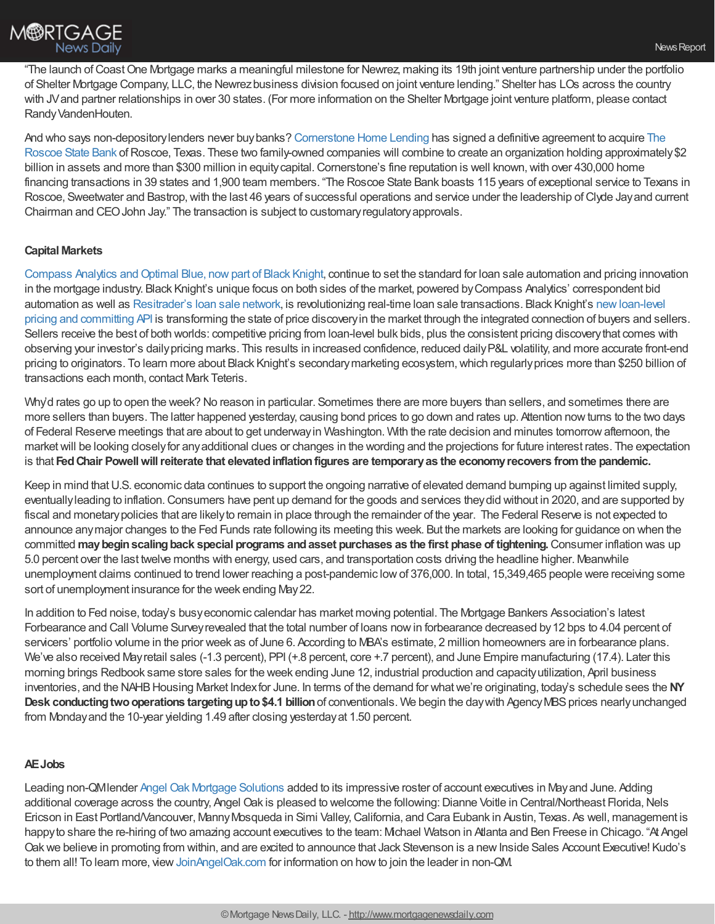

"The launch of Coast One Mortgage marks a meaningful milestone for Newrez, making its 19th joint venture partnership under the portfolio of Shelter Mortgage Company, LLC, the Newrezbusiness division focused on joint venture lending." Shelter has LOs across the country with JV and partner relationships in over 30 states. (For more information on the Shelter Mortgage joint venture platform, please contact Randy VandenHouten.

And who says [non-depositorylenders](http://www.rsb.bank/) never buybanks? [Cornerstone](http://www.houseloan.com/) Home Lending has signed a definitive agreement to acquire The Roscoe State Bank of Roscoe, Texas. These two family-owned companies will combine to create an organization holding approximately \$2 billion in assets and more than \$300 million in equity capital. Cornerstone's fine reputation is well known, with over 430,000 home financing transactions in 39 states and 1,900 team members. "The Roscoe State Bank boasts 115 years of exceptional service to Texans in Roscoe, Sweetwater and Bastrop,with the last 46 years of successful operations and service under the leadership ofClyde Jayand current Chairman and CEOJohn Jay." The transaction is subject to customaryregulatoryapprovals.

## **Capital Markets**

Compass Analytics and Optimal Blue, now part of Black Knight, continue to set the standard for loan sale automation and pricing innovation in the mortgage industry. Black Knight's unique focus on both sides of the market, powered byCompass Analytics' correspondent bid automation as well as [Resitrader's](https://www.blackknightinc.com/markets-we-serve/mortgage/secondary-marketing-technologies/loan-trading/?utm_source=chrisman-text-ad&utm_medium=paid-referral&utm_campaign=SMT_Combo_NA_All-Inclusive&utm_content=resitraders-loan-sale-ecosystem) loan sale network, is revolutionizing real-time loan sale transactions. Black Knight's [newloan-level](https://www.blackknightinc.com/black-knights-newest-api-automates-bulk-bidding-for-investors-hedge-advisors-and-lenders/?utm_source=chrisman-text-ad&utm_medium=paid-referral&utm_campaign=SMT_Combo_NA_All-Inclusive&utm_content=new-loan-level-pricing-and-committing-api) pricing and committing API is transforming the state of price discoveryin the market through the integrated connection of buyers and sellers. Sellers receive the best of both worlds: competitive pricing from loan-level bulk bids, plus the consistent pricing discovery that comes with observing your investor's dailypricing marks. This results in increased confidence, reduced dailyP&L volatility, and more accurate front-end pricing to originators. To learn more about Black Knight's secondary marketing ecosystem, which regularly prices more than \$250 billion of transactions each month, contact Mark Teteris.

Why'd rates go up to open the week? No reason in particular. Sometimes there are more buyers than sellers, and sometimes there are more sellers than buyers. The latter happened yesterday, causing bond prices to go down and rates up. Attention nowturns to the two days of Federal Reserve meetings that are about to get underwayin Washington. With the rate decision and minutes tomorrowafternoon, the market will be looking closely for any additional clues or changes in the wording and the projections for future interest rates. The expectation is that **FedChair Powellwillreiterate that elevatedinflationfigures are temporaryas the economyrecovers fromthe pandemic.**

Keep in mind that U.S. economic data continues to support the ongoing narrative of elevated demand bumping up against limited supply, eventuallyleading to inflation.Consumers have pent up demand for the goods and services theydid without in 2020, and are supported by fiscal and monetarypolicies that are likelyto remain in place through the remainder of the year. The Federal Reserve is not expected to announce anymajor changes to the Fed Funds rate following its meeting this week. But the markets are looking for guidance on when the committed **maybeginscalingback special programs andasset purchases as the first phase of tightening.**Consumer inflation was up 5.0 percent over the last twelve months with energy, used cars, and transportation costs driving the headline higher. Meanwhile unemployment claims continued to trend lower reaching a post-pandemic lowof 376,000. In total, 15,349,465 people were receiving some sort of unemployment insurance for the week ending May22.

In addition to Fed noise, today's busyeconomic calendar has market moving potential. The Mortgage Bankers Association's latest Forbearance and Call Volume Surveyrevealed that the total number of loans nowin forbearance decreased by12 bps to 4.04 percent of servicers' portfolio volume in the prior week as of June 6. According to MBA's estimate, 2 million homeowners are in forbearance plans. We've also received May retail sales (-1.3 percent), PPI (+.8 percent, core +.7 percent), and June Empire manufacturing (17.4). Later this morning brings Redbook same store sales for the week ending June 12, industrial production and capacityutilization, April business inventories, and the NAHB Housing Market Index for June. In terms of the demand for what we're originating, today's schedule sees the NY **Desk conducting two operations targeting up to \$4.1 billion of conventionals. We begin the day with Agency MBS prices nearly unchanged** from Mondayand the 10-year yielding 1.49 after closing yesterdayat 1.50 percent.

### **AEJobs**

Leading non-QMlender Angel Oak Mortgage [Solutions](http://angeloakms.com/) added to its impressive roster of account executives in Mayand June. Adding additional coverage across the country, Angel Oak is pleased to welcome the following: Dianne Voitle in Central/Northeast Florida, Nels Ericson in East Portland/Vancouver, MannyMosqueda in Simi Valley,California, and Cara Eubank in Austin, Texas. As well, management is happy to share the re-hiring of two amazing account executives to the team: Michael Watson in Atlanta and Ben Freese in Chicago. "At Angel Oak we believe in promoting from within, and are excited to announce that Jack Stevenson is a new Inside Sales Account Executive! Kudo's to them all! To learn more, view [JoinAngelOak.com](https://recruiting.ultipro.com/ANG1001/JobBoard/b4780aa2-b465-c039-b3af-bec7dad8eb3b/?q=mortgage+solutions&o=relevance&f5=rNaYyp1UFUiaKQFCcPn48w) for information on how to join the leader in non-QM.